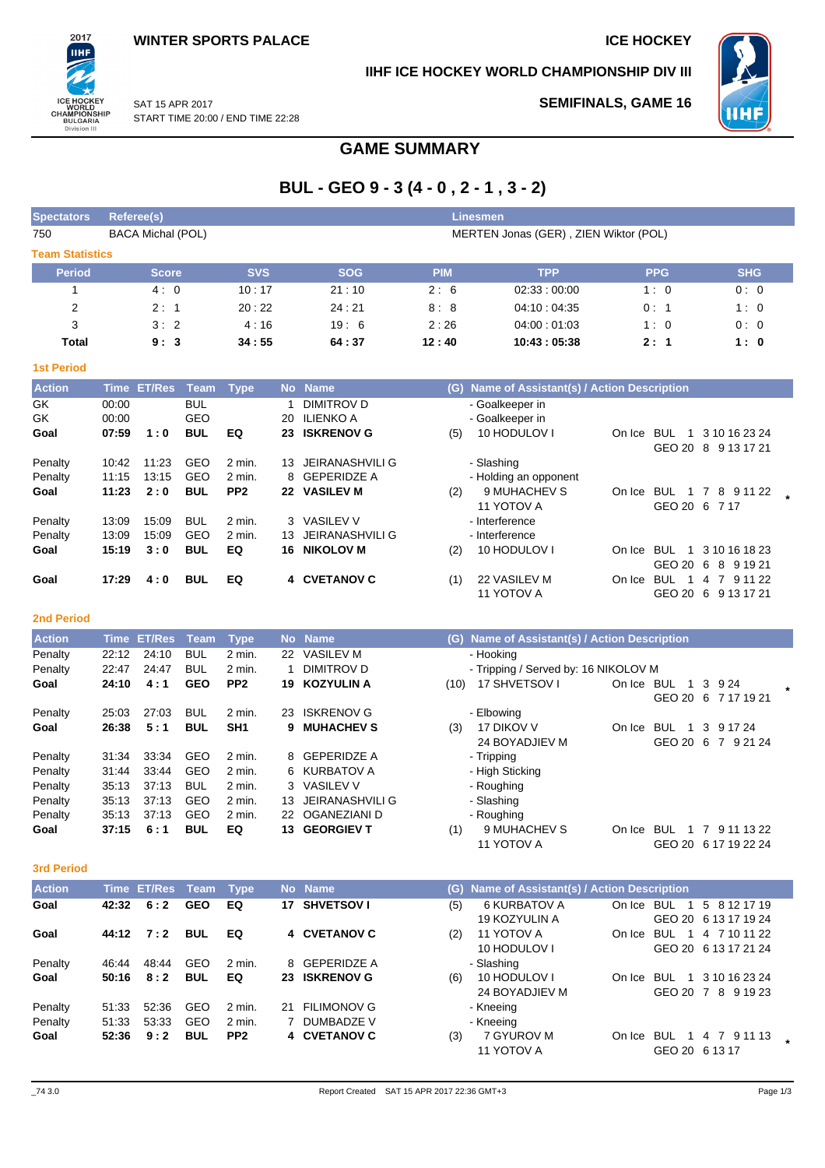**SEMIFINALS, GAME 16**

**IIHF ICE HOCKEY WORLD CHAMPIONSHIP DIV III**



SAT 15 APR 2017 START TIME 20:00 / END TIME 22:28

# **GAME SUMMARY**

# **BUL - GEO 9 - 3 (4 - 0 , 2 - 1 , 3 - 2)**

| <b>Spectators</b>      | Referee(s)               |            | <b>Linesmen</b>                       |            |             |            |            |  |  |  |  |
|------------------------|--------------------------|------------|---------------------------------------|------------|-------------|------------|------------|--|--|--|--|
| 750                    | <b>BACA Michal (POL)</b> |            | MERTEN Jonas (GER), ZIEN Wiktor (POL) |            |             |            |            |  |  |  |  |
| <b>Team Statistics</b> |                          |            |                                       |            |             |            |            |  |  |  |  |
| <b>Period</b>          | <b>Score</b>             | <b>SVS</b> | <b>SOG</b>                            | <b>PIM</b> | <b>TPP</b>  | <b>PPG</b> | <b>SHG</b> |  |  |  |  |
|                        | 4:0                      | 10:17      | 21:10                                 | 2:6        | 02:33:00:00 | 1:0        | 0:0        |  |  |  |  |
| 2                      | 2:1                      | 20:22      | 24:21                                 | 8:8        | 04:10:04:35 | 0:1        | 1:0        |  |  |  |  |
| 3                      | 3:2                      | 4:16       | 19:6                                  | 2:26       | 04:00:01:03 | 1:0        | 0:0        |  |  |  |  |
| Total                  | 9:3                      | 34:55      | 64:37                                 | 12:40      | 10:43:05:38 | 2:1        | 1:0        |  |  |  |  |

| <b>1st Period</b> |             |               |            |                 |           |                   |     |                                           |        |                                              |  |
|-------------------|-------------|---------------|------------|-----------------|-----------|-------------------|-----|-------------------------------------------|--------|----------------------------------------------|--|
| <b>Action</b>     | <b>Time</b> | <b>ET/Res</b> | Team       | <b>Type</b>     | <b>No</b> | <b>Name</b>       | (G) | Name of Assistant(s) / Action Description |        |                                              |  |
| GK                | 00:00       |               | <b>BUL</b> |                 |           | DIMITROV D        |     | - Goalkeeper in                           |        |                                              |  |
| GK                | 00:00       |               | GEO        |                 | 20        | ILIENKO A         |     | - Goalkeeper in                           |        |                                              |  |
| Goal              | 07:59       | 1:0           | <b>BUL</b> | EQ              | 23        | <b>ISKRENOV G</b> | (5) | 10 HODULOV I                              | On Ice | <b>BUL</b><br>3 10 16 23 24<br>1.            |  |
|                   |             |               |            |                 |           |                   |     |                                           |        | GEO 20<br>9 13 17 21<br>8                    |  |
| Penalty           | 10:42       | 11:23         | GEO        | 2 min.          | 13        | JEIRANASHVILI G   |     | - Slashing                                |        |                                              |  |
| Penalty           | 11:15       | 13:15         | GEO        | $2$ min.        |           | 8 GEPERIDZE A     |     | - Holding an opponent                     |        |                                              |  |
| Goal              | 11:23       | 2:0           | <b>BUL</b> | PP <sub>2</sub> | 22        | <b>VASILEV M</b>  | (2) | 9 MUHACHEV S                              | On Ice | <b>BUL</b><br>8<br>9 11 22<br>- 7<br>1       |  |
|                   |             |               |            |                 |           |                   |     | 11 YOTOV A                                |        | GEO 20<br>-6<br>7 17                         |  |
| Penalty           | 13:09       | 15:09         | <b>BUL</b> | $2$ min.        |           | 3 VASILEV V       |     | - Interference                            |        |                                              |  |
| Penalty           | 13:09       | 15:09         | <b>GEO</b> | 2 min.          | 13.       | JEIRANASHVILI G   |     | - Interference                            |        |                                              |  |
| Goal              | 15:19       | 3:0           | <b>BUL</b> | EQ              | 16        | <b>NIKOLOV M</b>  | (2) | 10 HODULOV I                              | On Ice | <b>BUL</b><br>3 10 16 18 23<br>1             |  |
|                   |             |               |            |                 |           |                   |     |                                           |        | GEO 20<br>-6<br>8 9 1 9 2 1                  |  |
| Goal              | 17:29       | 4:0           | <b>BUL</b> | EQ              | 4         | <b>CVETANOV C</b> | (1) | 22 VASILEV M                              | On Ice | <b>BUL</b><br>$\overline{7}$<br>9 11 22<br>4 |  |
|                   |             |               |            |                 |           |                   |     | 11 YOTOV A                                |        | GEO 20<br>-6<br>9 13 17 21                   |  |

## **2nd Period**

2017 ПHI

ICE HOCKEY<br>WORLD<br>CHAMPIONSHIP<br>BULGARIA<br>Division III

| <b>Action</b> | Time  | <b>ET/Res</b> | Team       | <b>Type</b>       |     | No Name           |      | (G) Name of Assistant(s) / Action Description |        |            |     |                      |         |
|---------------|-------|---------------|------------|-------------------|-----|-------------------|------|-----------------------------------------------|--------|------------|-----|----------------------|---------|
| Penalty       | 22:12 | 24:10         | <b>BUL</b> | 2 min.            | 22  | <b>VASILEV M</b>  |      | - Hooking                                     |        |            |     |                      |         |
| Penalty       | 22:47 | 24:47         | <b>BUL</b> | 2 min.            |     | DIMITROV D        |      | - Tripping / Served by: 16 NIKOLOV M          |        |            |     |                      |         |
| Goal          | 24:10 | 4:1           | <b>GEO</b> | PP <sub>2</sub>   | 19. | <b>KOZYULIN A</b> | (10) | 17 SHVETSOV I                                 | On Ice | <b>BUL</b> |     | 1 3 9 24             | $\star$ |
|               |       |               |            |                   |     |                   |      |                                               |        |            |     | GEO 20 6 7 17 19 21  |         |
| Penalty       | 25:03 | 27:03         | BUL        | $2 \text{ min}$ . | 23  | <b>ISKRENOV G</b> |      | - Elbowing                                    |        |            |     |                      |         |
| Goal          | 26:38 | 5:1           | <b>BUL</b> | SH <sub>1</sub>   | 9.  | <b>MUHACHEV S</b> | (3)  | 17 DIKOV V                                    | On Ice | BUL        | 3   | 9 17 24              |         |
|               |       |               |            |                   |     |                   |      | 24 BOYADJIEV M                                |        | GEO 20     | - 6 | 7 9 21 24            |         |
| Penalty       | 31:34 | 33:34         | <b>GEO</b> | 2 min.            |     | 8 GEPERIDZE A     |      | - Tripping                                    |        |            |     |                      |         |
| Penalty       | 31:44 | 33.44         | GEO        | 2 min.            |     | 6 KURBATOV A      |      | - High Sticking                               |        |            |     |                      |         |
| Penalty       | 35:13 | 37:13         | <b>BUL</b> | 2 min.            |     | 3 VASILEV V       |      | - Roughing                                    |        |            |     |                      |         |
| Penalty       | 35:13 | 37:13         | GEO        | 2 min.            | 13. | JEIRANASHVILI G   |      | - Slashing                                    |        |            |     |                      |         |
| Penalty       | 35:13 | 37:13         | GEO        | 2 min.            |     | 22 OGANEZIANI D   |      | - Roughing                                    |        |            |     |                      |         |
| Goal          | 37:15 | 6:1           | <b>BUL</b> | EQ                |     | 13 GEORGIEV T     | (1)  | 9 MUHACHEV S                                  | On Ice | BUL        | 7   | 9 11 13 22           |         |
|               |       |               |            |                   |     |                   |      | 11 YOTOV A                                    |        |            |     | GEO 20 6 17 19 22 24 |         |

## **3rd Period**

| <b>Action</b> |       | Time ET/Res Team Type |            |                 |    | No Name            |     | (G) Name of Assistant(s) / Action Description |            |                      |                                        |  |
|---------------|-------|-----------------------|------------|-----------------|----|--------------------|-----|-----------------------------------------------|------------|----------------------|----------------------------------------|--|
| Goal          | 42:32 | 6:2                   | <b>GEO</b> | EQ              | 17 | <b>SHVETSOV I</b>  | (5) | 6 KURBATOV A<br>19 KOZYULIN A                 | On Ice     | <b>BUL</b><br>1.     | 5 8 12 17 19<br>GEO 20 6 13 17 19 24   |  |
| Goal          | 44:12 | 7:2                   | <b>BUL</b> | EQ              |    | 4 CVETANOV C       | (2) | 11 YOTOV A<br>10 HODULOV I                    | On Ice     | <b>BUL</b>           | 1 4 7 10 11 22<br>GEO 20 6 13 17 21 24 |  |
| Penalty       | 46:44 | 48:44                 | GEO        | 2 min.          |    | 8 GEPERIDZE A      |     | - Slashing                                    |            |                      |                                        |  |
| Goal          | 50:16 | 8:2                   | <b>BUL</b> | EQ              |    | 23 ISKRENOV G      | (6) | 10 HODULOV I<br>24 BOYADJIEV M                | On Ice     | BUL<br>1             | 3 10 16 23 24<br>GEO 20 7 8 9 19 23    |  |
| Penalty       | 51:33 | 52:36                 | GEO        | 2 min.          | 21 | <b>FILIMONOV G</b> |     | - Kneeing                                     |            |                      |                                        |  |
| Penalty       | 51:33 | 53.33                 | GEO        | 2 min.          |    | DUMBADZE V         |     | - Kneeing                                     |            |                      |                                        |  |
| Goal          | 52:36 | 9:2                   | <b>BUL</b> | PP <sub>2</sub> |    | 4 CVETANOV C       | (3) | 7 GYUROV M<br>11 YOTOV A                      | On Ice BUL | -1<br>GEO 20 6 13 17 | 4 7 9 11 13                            |  |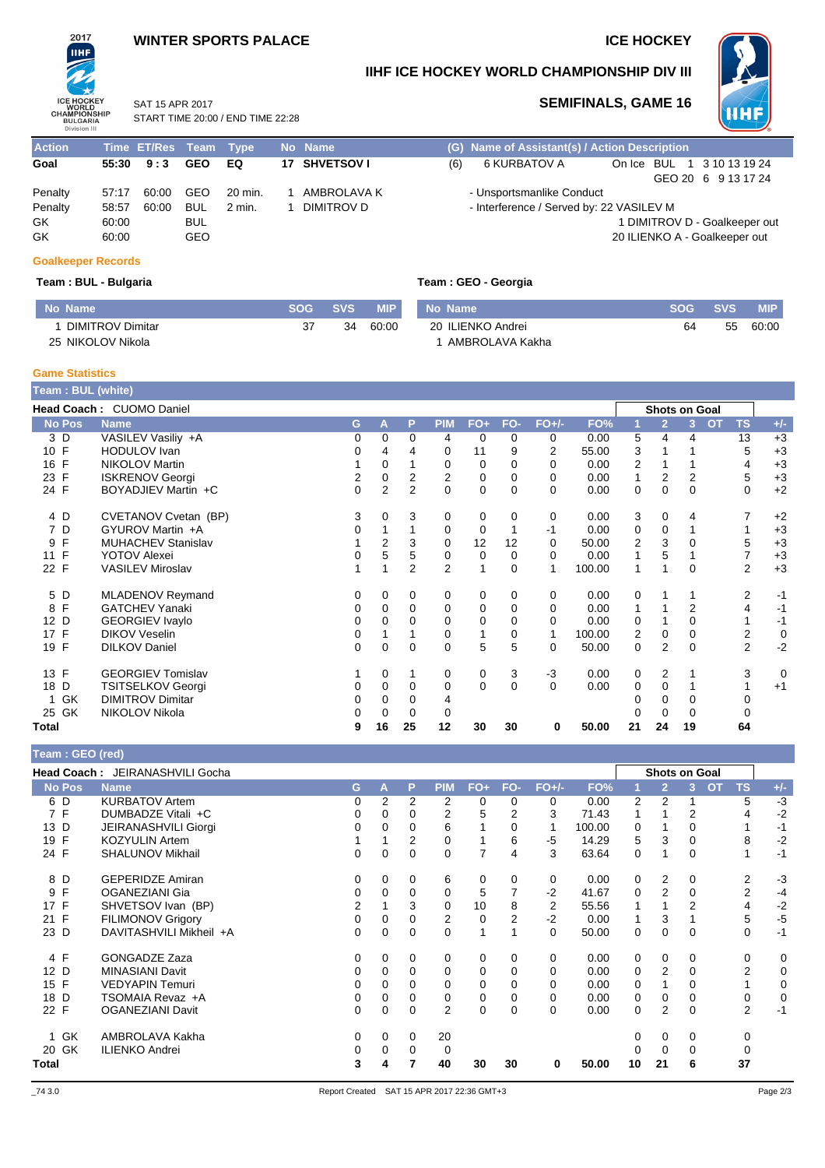## **WINTER SPORTS PALACE ICE HOCKEY**

START TIME 20:00 / END TIME 22:28

SAT 15 APR 2017



**IIHF ICE HOCKEY WORLD CHAMPIONSHIP DIV III**



## **SEMIFINALS, GAME 16**

**Action Time ET/Res Team Type No Name (G) Name of Assistant(s) / Action Description Goal 55:30 9:3 GEO EQ 17 SHVETSOV I** (6) 6 KURBATOV A On Ice BUL 1 3 10 13 19 24 GEO 20 6 9 13 17 24 Penalty 57:17 60:00 GEO 20 min. 1 AMBROLAVA K - Unsportsmanlike Conduct<br>Penalty 58:57 60:00 BUL 2 min. 1 DIMITROV D - Interference / Served by: 2 - Interference / Served by: 22 VASILEV M GK 60:00 BUL 60:00 BUL 60:00 BUL 60:00 BUL 6 GALACTER SUN SERVER AND SUN SERVER AT DIMITROV D - Goalkeeper out<br>GK 60:00 GEO GALACTER SUN SERVER AND SUN SERVER AND SUN SERVER AND SUN SERVER AND SUN SUN SERVER ON SUN SUN S GK 60:00 GEO 60:00 GEO 60:00 GEO 60:00 GEO 60:00 GEO 60:00 GEO 60:00 GEO 60:00 GEO 60:00 GEO 60:00 GEO 60:00 GEO

## **Goalkeeper Records**

## **Team : BUL - Bulgaria Team : GEO - Georgia**

| No Name                 | <b>SOG</b> | <b>SVS</b> | <b>MIP</b> | No Name           | <b>SOG</b> | <b>SVS</b> | <b>MIP</b> |
|-------------------------|------------|------------|------------|-------------------|------------|------------|------------|
| <b>DIMITROV Dimitar</b> | 37         | 34         | 60:00      | 20 ILIENKO Andrei | 64         | 55         | 60:00      |
| 25 NIKOLOV Nikola       |            |            |            | AMBROLAVA Kakha   |            |            |            |

### **Game Statistics**

|               | <b>Team: BUL (white)</b> |          |                |                |                |              |             |                |        |                |                      |                        |                        |             |
|---------------|--------------------------|----------|----------------|----------------|----------------|--------------|-------------|----------------|--------|----------------|----------------------|------------------------|------------------------|-------------|
|               | Head Coach: CUOMO Daniel |          |                |                |                |              |             |                |        |                | <b>Shots on Goal</b> |                        |                        |             |
| <b>No Pos</b> | <b>Name</b>              | G        | A              | P              | <b>PIM</b>     | $FO+$        | FO-         | $FO+/-$        | FO%    |                | $\overline{2}$       | $\mathbf{3}^{\dagger}$ | <b>OT</b><br><b>TS</b> | $+/-$       |
| 3 D           | VASILEV Vasiliy +A       | 0        | 0              | 0              | 4              | 0            | 0           | 0              | 0.00   | 5              | 4                    | 4                      | 13                     | $+3$        |
| 10 F          | <b>HODULOV</b> Ivan      | 0        | 4              | 4              | 0              | 11           | 9           | $\overline{2}$ | 55.00  | 3              |                      |                        | 5                      | $+3$        |
| 16 F          | <b>NIKOLOV Martin</b>    |          | 0              |                | 0              | 0            | 0           | 0              | 0.00   | $\overline{2}$ |                      |                        | 4                      | $+3$        |
| 23 F          | <b>ISKRENOV Georgi</b>   | 2        | 0              | 2              | 2              | 0            | 0           | 0              | 0.00   | 1              | 2                    | 2                      | 5                      | $+3$        |
| 24 F          | BOYADJIEV Martin +C      | $\Omega$ | $\overline{2}$ | $\overline{2}$ | $\Omega$       | $\mathbf 0$  | $\Omega$    | $\Omega$       | 0.00   | 0              | 0                    | $\Omega$               | 0                      | $+2$        |
| 4 D           | CVETANOV Cvetan (BP)     | 3        | $\Omega$       | 3              | 0              | 0            | 0           | 0              | 0.00   | 3              | $\mathbf 0$          | 4                      |                        | $+2$        |
| 7 D           | GYUROV Martin +A         | 0        |                |                | 0              | 0            |             | $-1$           | 0.00   | 0              | 0                    |                        |                        | $+3$        |
| F<br>9        | MUHACHEV Stanislav       |          | $\overline{2}$ | 3              | 0              | 12           | 12          | 0              | 50.00  | $\overline{2}$ | 3                    | 0                      | 5                      | $+3$        |
| 11 F          | <b>YOTOV Alexei</b>      | 0        | 5              | 5              | 0              | 0            | 0           | 0              | 0.00   | 1              | 5                    |                        |                        | $+3$        |
| 22 F          | <b>VASILEV Miroslav</b>  |          |                | $\overline{2}$ | $\overline{2}$ |              | $\mathbf 0$ |                | 100.00 | 1              |                      | 0                      | $\overline{2}$         | $+3$        |
| 5 D           | MLADENOV Reymand         | 0        | 0              | 0              | 0              | 0            | 0           | 0              | 0.00   | 0              |                      |                        | 2                      | $-1$        |
| F<br>8        | <b>GATCHEV Yanaki</b>    | 0        | 0              | 0              | 0              | 0            | 0           | 0              | 0.00   | 1              |                      | 2                      | 4                      | $-1$        |
| 12 D          | <b>GEORGIEV Ivaylo</b>   | 0        | 0              | 0              | 0              | 0            | 0           | 0              | 0.00   | 0              |                      | $\Omega$               |                        | $-1$        |
| 17 F          | <b>DIKOV Veselin</b>     | 0        |                |                | 0              |              | 0           | 1              | 100.00 | 2              | 0                    | 0                      | 2                      | $\mathbf 0$ |
| 19 F          | <b>DILKOV Daniel</b>     | 0        | $\Omega$       | 0              | $\Omega$       | 5            | 5           | $\Omega$       | 50.00  | 0              | 2                    | $\Omega$               | $\overline{2}$         | $-2$        |
| 13 F          | <b>GEORGIEV Tomislav</b> |          | 0              |                | 0              | 0            | 3           | $-3$           | 0.00   | 0              | 2                    |                        | 3                      | 0           |
| 18 D          | <b>TSITSELKOV Georgi</b> | 0        | $\Omega$       | 0              | 0              | $\mathbf{0}$ | $\Omega$    | $\Omega$       | 0.00   | 0              | 0                    |                        |                        | $+1$        |
| GK<br>1.      | <b>DIMITROV Dimitar</b>  | 0        | 0              | 0              | 4              |              |             |                |        |                | 0                    | 0                      | 0                      |             |
| 25 GK         | NIKOLOV Nikola           |          | $\Omega$       | 0              | 0              |              |             |                |        |                | $\Omega$             | $\Omega$               | 0                      |             |
| Total         |                          | 9        | 16             | 25             | 12             | 30           | 30          | 0              | 50.00  | 21             | 24                   | 19                     | 64                     |             |

### **Team : GEO (red)**

| $1$ can . OLO $(1)$ cu |                                        |   |                |   |            |             |          |                |        |          |                      |          |           |    |       |
|------------------------|----------------------------------------|---|----------------|---|------------|-------------|----------|----------------|--------|----------|----------------------|----------|-----------|----|-------|
|                        | <b>Head Coach: JEIRANASHVILI Gocha</b> |   |                |   |            |             |          |                |        |          | <b>Shots on Goal</b> |          |           |    |       |
| <b>No Pos</b>          | <b>Name</b>                            | G | A              | P | <b>PIM</b> | $FO+$       | FO-      | $FO+/-$        | FO%    |          | $\overline{2}$       | 3        | <b>OT</b> | TS | $+/-$ |
| 6 D                    | <b>KURBATOV Artem</b>                  | 0 | $\overline{2}$ | 2 | 2          | 0           | 0        | 0              | 0.00   | 2        | 2                    |          |           | 5  | $-3$  |
| 7 F                    | DUMBADZE Vitali +C                     | 0 | 0              | 0 | 2          | 5           | 2        | 3              | 71.43  | 1        |                      | 2        |           |    | $-2$  |
| 13 D                   | JEIRANASHVILI Giorgi                   | 0 | 0              | 0 | 6          |             | 0        |                | 100.00 | 0        |                      | 0        |           |    | $-1$  |
| F<br>19                | <b>KOZYULIN Artem</b>                  |   |                | 2 | 0          |             | 6        | -5             | 14.29  | 5        | 3                    | 0        |           | 8  | $-2$  |
| 24 F                   | <b>SHALUNOV Mikhail</b>                | 0 | 0              | 0 | 0          |             | 4        | 3              | 63.64  | 0        |                      | 0        |           |    | $-1$  |
| 8 D                    | <b>GEPERIDZE Amiran</b>                | 0 | 0              | 0 | 6          | 0           | 0        | 0              | 0.00   | 0        | 2                    | 0        |           | 2  | $-3$  |
| F<br>9                 | <b>OGANEZIANI Gia</b>                  | 0 | 0              | 0 | 0          | 5           |          | $-2$           | 41.67  | $\Omega$ | 2                    | 0        |           | 2  | $-4$  |
| F<br>17                | SHVETSOV Ivan (BP)                     | 2 |                | 3 | 0          | 10          | 8        | $\overline{2}$ | 55.56  |          |                      | 2        |           | 4  | $-2$  |
| F<br>21                | <b>FILIMONOV Grigory</b>               | 0 | 0              |   | 2          | $\mathbf 0$ | 2        | $-2$           | 0.00   |          | 3                    |          |           | 5  | $-5$  |
| 23 D                   | DAVITASHVILI Mikheil +A                | 0 | 0              | 0 | 0          |             |          | 0              | 50.00  | 0        | 0                    | 0        |           | 0  | $-1$  |
| 4 F                    | <b>GONGADZE Zaza</b>                   | 0 | 0              | 0 | 0          | 0           | 0        | 0              | 0.00   | 0        | 0                    | 0        |           | 0  | 0     |
| 12 D                   | <b>MINASIANI Davit</b>                 | 0 | 0              | 0 | 0          | 0           | 0        | 0              | 0.00   | 0        | 2                    | 0        |           | 2  | 0     |
| 15 F                   | <b>VEDYAPIN Temuri</b>                 | 0 | 0              | 0 | $\Omega$   | 0           | 0        | $\Omega$       | 0.00   | 0        |                      | 0        |           |    | 0     |
| 18 D                   | TSOMAIA Revaz +A                       | 0 | 0              | 0 | 0          | 0           | 0        | $\Omega$       | 0.00   | 0        | 0                    | 0        |           | 0  | 0     |
| 22 F                   | <b>OGANEZIANI Davit</b>                | 0 | 0              | 0 | 2          | 0           | $\Omega$ | $\Omega$       | 0.00   | 0        | 2                    | $\Omega$ |           | 2  | $-1$  |
| GK                     | AMBROLAVA Kakha                        | 0 | 0              | 0 | 20         |             |          |                |        | 0        | 0                    | 0        |           | 0  |       |
| GK<br>20               | <b>ILIENKO Andrei</b>                  | 0 | 0              | 0 | 0          |             |          |                |        | 0        | $\Omega$             | 0        |           | 0  |       |
| Total                  |                                        | 3 | 4              |   | 40         | 30          | 30       | 0              | 50.00  | 10       | 21                   | 6        |           | 37 |       |
|                        |                                        |   |                |   |            |             |          |                |        |          |                      |          |           |    |       |